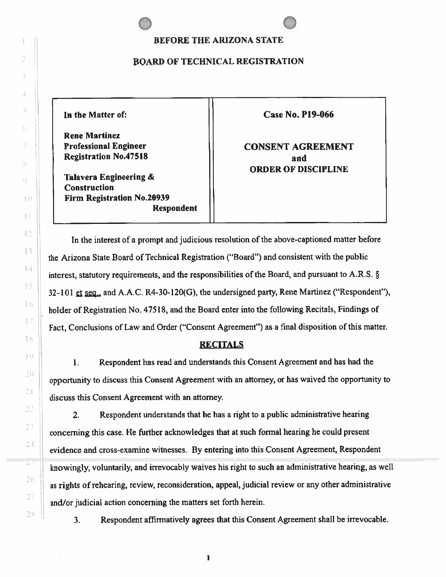### **BEFORE THE ARIZONA STATE**

## **BOARD OF TECHNICAL REGISTRATION**

**Rene Martinez**  Professional Engineer **Network 1** | CONSENT AGREEMENT **Registration No.47518 and** 

**Talavera Engineering** & **Construction Firm Registration No.20939 Respondent** 

**In the** Matter of: Case **No. P19-066** 

**ORDER OF DISCIPLINE** 

In the interest of a prompt and judicious resolution of the above-captioned matter before  $\Box$  the Arizona State Board of Technical Registration ("Board") and consistent with the public interest, statutory requirements, and the responsibilities of the Board, and pursuant to A.R.S.  $\S$ 32-101 et seq., and A.A.C. R4-30-120(G), the undersigned party, Rene Martinez ("Respondent"), 1. holder of Registration No. 47518, and the Board enter into the following Recitals, Findings of Fact, Conclusions of Law and Order (''Consent Agreement") as a final disposition of this matter.

# **l RECITALS**

1. Respondent has read and understands this Consent Agreement and has had the opportunity to discuss this Consent Agreement with an attorney, or has waived the opportunity to discuss this Consent Agreement with an attorney.

2. Respondent understands that he has a right to a public administrative hearing ' concerning this case. He further acknowledges that at such fonnal hearing he could present 24 evidence and cross-examine witnesses. By entering into this Consent Agreement, Respondent  $\frac{1}{2}$  knowingly, voluntarily, and irrevocably waives his right to such an administrative hearing, as well as rights of rehearing, review, reconsideration, appeal, judicial review or any other administrative  $27$  and/or judicial action concerning the matters set forth herein.

28  $\parallel$  3. Respondent affirmatively agrees that this Consent Agreement shall be irrevocable.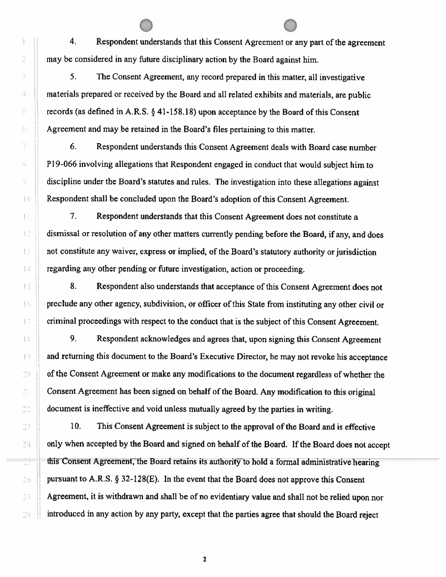Ï 2 Ĭ.  $\overline{A}$ š. Ø. ÿ  $\mathcal{H}$ O f 22 " . 'I , - -

4. Respondent understands that this Consent Agreement or any part of the agreement may be considered in any future disciplinary action by the Board against him.

5. The Consent Agreement, any record prepared in this matter, all investigative materials prepared or received by the Board and all related exhibits and materials, are public records (as defined in A.R.S. § [41-158.18](https://41-158.18)) upon acceptance by the Board of this Consent Agreement and may be retained in the Board's files pertaining to this matter.

6. Respondent understands this Consent Agreement deals with Board case number P19-066 involving allegations that Respondent engaged in conduct that would subject him to  $\theta$  discipline under the Board's statutes and rules. The investigation into these allegations against **Herefore, Respondent shall be concluded upon the Board's adoption of this Consent Agreement.** 

1. The Respondent understands that this Consent Agreement does not constitute a dismissal or resolution of any other matters currently pending before the Board, if any, and does 1. not constitute any waiver, express or implied, of the Board's statutory authority or jurisdiction  $\|\cdot\|$  regarding any other pending or future investigation, action or proceeding.

15 **8.** Respondent also understands that acceptance of this Consent Agreement does not  $\|\cdot\|$  preclude any other agency, subdivision, or officer of this State from instituting any other civil or 17 criminal proceedings with respect to the conduct that is the subject of this Consent Agreement.

 $\parallel$  9. Respondent acknowledges and agrees that, upon signing this Consent Agreement  $\Box$  and returning this document to the Board's Executive Director, he may not revoke his acceptance  $\mathbb{R}^n$  of the Consent Agreement or make any modifications to the document regardless of whether the Consent Agreement has been signed on behalf of the Board. Any modification to this original document is ineffective and void unless mutually agreed by the parties in writing.

10. This Consent Agreement is subject to the approval of the Board and is effective <sup>24</sup> only when accepted by the Board and signed on behalf of the Board. If the Board does not accept  $\pm$  this Consent Agreement, the Board retains its authority to hold a formal administrative hearing 26 **pursuant to A.R.S. § 32-128(E).** In the event that the Board does not approve this Consent Agreement, it is withdrawn and shall be of no evidentiary value and shall not be relied upon nor  $\geq$  introduced in any action by any party, except that the parties agree that should the Board reject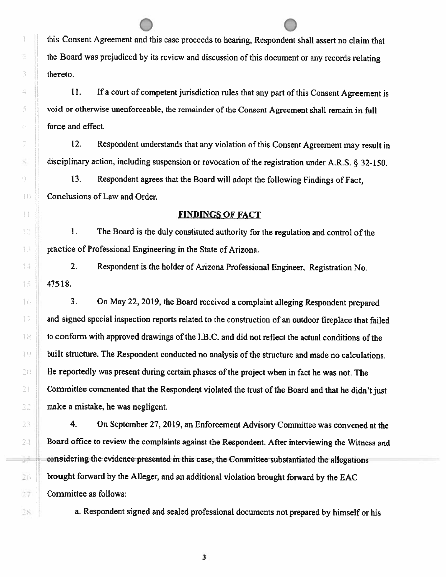this Consent Agreement and this case proceeds to hearing, Respondent shall assert no claim that the Board was prejudiced by its review and discussion of this document or any records relating thereto.

11. If a court of competent jurisdiction rules that any part of this Consent Agreement is void or otherwise unenforceable, the remainder of the Consent Agreement shall remain in full force and effect.

12. Respondent understands that any violation of this Consent Agreement may result in disciplinary action, including suspension or revocation of the registration under A.R.S. § 32-150.

13. Respondent agrees that the Board will adopt the following Findings of Fact, Conclusions of Law and Order.

### **FINDINGS OF FACT**

1. The Board is the duly constituted authority for the regulation and control of the practice of Professional Engineering in the State of Arizona.

2. Respondent is the holder of Arizona Professional Engineer, Registration No. 47518.

3. On May 22, 2019, the Board received a complaint alleging Respondent prepared and signed special inspection reports related to the construction of an outdoor fireplace that failed to conform with approved drawings of the 1.8.C. and did not reflect the actual conditions of the built structure. The Respondent conducted no analysis of the structure and made no calculations.  $\mathbb{R}^n$  He reportedly was present during certain phases of the project when in fact he was not. The Committee commented that the Respondent violated the trust of the Board and that he didn't just  $\mathbb{R}$  . make a mistake, he was negligent.

4. On September 27, 2019, an Enforcement Advisory Committee was convened at the Board office to review the complaints against the Respondent. After interviewing the Witness and -----::-=, -considering~the-evidenee-presented in this-case, the-Committee-substantiated the allegations \_ , brought forward by the **Alleger,** and an additional violation brought forward by the EAC 27 | Committee as follows:

 $\mathbb{R}$ : a. Respondent signed and sealed professional documents not prepared by himself or his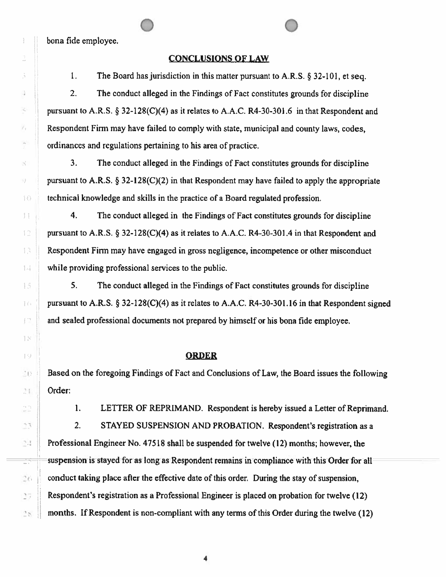bona fide employee.

#### CONCLUSIONS OF LAW

1. The Board has jurisdiction in this matter pursuant to A.R.S. § 32-101, et seq.

2. The conduct alleged in the Findings of Fact constitutes grounds for discipline pursuant to A.R.S. § 32-128(C)(4) as it relates to A.A.C. R4-30-301.6 in that Respondent and Respondent Firm may have failed to comply with state, municipal and county laws, codes, ordinances and regulations pertaining to his area of practice.

3. The conduct alleged in the Findings of Fact constitutes grounds for discipline pursuant to **A.R.S.** § 32-128(C)(2) in that Respondent may have failed to apply the appropriate technical knowledge and skills in the practice of a Board regulated profession.

I. 4. The conduct aJleged in the Findings of Fact constitutes grounds for discipline pursuant to A.R.S. § 32-128(C)(4) as it relates to A.A.C. R4-30-301.4 in that Respondent and Respondent Finn may have engaged in gross negligence, incompetence or other misconduct I 1 while providing professional services to the public.

IS **1995 • 5.** The conduct alleged in the Findings of Fact constitutes grounds for discipline 16 general I pursuant to A.R.S. § 32-128(C)(4) as it relates to A.A.C. [R4-30-301.16](https://R4-30-301.16) in that Respondent signed **1. The and sealed professional documents not prepared by himself or his bona fide employee.** 

#### <sup>I</sup>J **ORDER**

**EXECUTE:** 1 Based on the foregoing Findings of Fact and Conclusions of Law, the Board issues the following .<sup>~</sup>**1 Order:** 

1. LETTER OF REPRIMAND. Respondent is hereby issued a Letter of Reprimand.

2. STAYED SUSPENSION AND PROBATION. Respondent's registration as a  $\parallel$  Professional Engineer No. 47518 shall be suspended for twelve (12) months; however, the  $\equiv$  suspension is stayed for as long as Respondent remains in compliance with this Order for all *conduct taking place after the effective date of this order. During the stay of suspension,* Respondent's registration as a Professional Engineer is placed on probation for twelve (12)  $\geq$ .... months. If Respondent is non-compliant with any terms of this Order during the twelve (12)

 $\frac{1}{\sqrt{2}}$ ž, å, ×,  $\vec{r}_1$  $\sim$ S. 53  $\left\{ \cdot \right\}$  $\left[\begin{smallmatrix} 1 & 0 \\ 0 & 1 \end{smallmatrix}\right]$  $\mathcal{E}_i$  ) l'  $\frac{1}{\sqrt{2}}$  $\tilde{\mathcal{L}}$ 27

 $\mathcal{C}^{\text{even}}$ 

 $\mathbf{I}$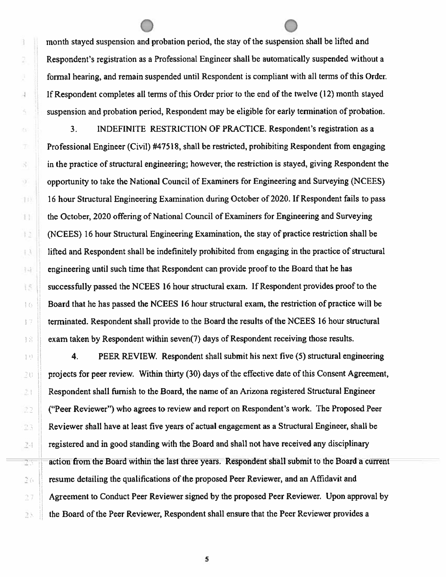a 2 Ø  $\mathcal{A}$ š, 农 D 8 ij.  $11)$  $\mathbb{H}$  $\pm 2$  $\mathbb{L}\lambda$ 科  $15$  $16$ 劃  $\mathbb{Z}2$  $2\pi$  month stayed suspension and probation period, the stay of the suspension shall be lifted and Respondent's registration as a Professional Engineer shall be automatically suspended without a formal hearing, and remain suspended until Respondent is compliant with all terms of this Order. If Respondent completes all terms of this Order prior to the end of the twelve (12) month stayed suspension and probation period, Respondent may be eligible for early termination of probation.

3. INDEFINITE RESTRICTION OF PRACTICE. Respondent's registration as a Professional Engineer (Civil) #47518, shall be restricted, prohibiting Respondent from engaging in the practice of structural engineering; however; the restriction is stayed, giving Respondent the opportunity to take the National Council of Examiners for Engineering and Surveying (NCEES) 16 hour Structural Engineering Examination during October of 2020. If Respondent fails to pass the October, 2020 offering of National Council of Examiners for Engineering and Surveying (NCEES) 16 hour Structural Engineering Examination, the stay of practice restriction shall be lifted and Respondent shall be indefinitely prohibited from engaging in the practice of structural engineering until such time that Respondent can provide proof to the Board that he has successfully passed the NCEES 16 hour structural exam. If Respondent provides proof to the Board that he has passed the NCEES 16 hour structural exam, the restriction of practice will be I terminated. Respondent shall provide to the Board the results of the NCEES 16 hour structural  $\|\cdot\|$  exam taken by Respondent within seven(7) days of Respondent receiving those results.

**10** II **4.** PEER REVIEW. Respondent shall submit his next five (5) structural engineering  $\sim$  u projects for peer review. Within thirty (30) days of the effective date of this Consent Agreement, Respondent shall furnish to the Board, the name of an Arizona registered Structural Engineer ("Peer Reviewer") who agrees to review and report on Respondent's work. The Proposed Peer  $\mathbb{R}$  Reviewer shall have at least five years of actual engagement as a Structural Engineer, shall be **EXECUTE:** registered and in good standing with the Board and shall not have received any disciplinary action from the Board within the last three years. Respondent sliall submit to the Board a current resume detailing the qualifications of the proposed Peer Reviewer, and an Affidavit and **T** Agreement to Conduct Peer Reviewer signed by the proposed Peer Reviewer. Upon approval by  $\mathbb{R}$ . the Board of the Peer Reviewer, Respondent shall ensure that the Peer Reviewer provides a

*s*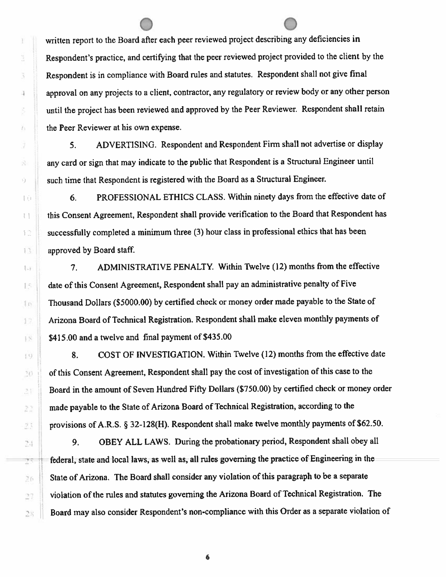written report to the Board after each peer reviewed project describing any deficiencies in Respondent's practice, and certifying that the peer reviewed project provided to the client by the Respondent is in compliance with Board rules and statutes. Respondent shall not give final approval on any projects to a client, contractor. any regulatory or review body or any other person until the project has been reviewed and approved by the Peer Reviewer. Respondent shall retain the Peer Reviewer at his own expense.

5. ADVERTISING. Respondent and Respondent Firm shall not advertise or display any card or sign that may indicate to the public that Respondent is a Structural Engineer until  $\mathcal{G}$  Such time that Respondent is registered with the Board as a Structural Engineer.

6. PROFESSIONAL ETHICS CLASS. Within ninety days from the effective date of t this Consent Agreement, Respondent shall provide verification to the Board that Respondent has  $\parallel$  successfully completed a minimum three (3) hour class in professional ethics that has been 13 approved by Board staff.

1. **1. I ADMINISTRATIVE PENALTY.** Within Twelve (12) months from the effective date of this Consent Agreement, Respondent shall pay an administrative penalty of Five Thousand Dollars (\$5000.00) by certified check or money order made payable to the State of Arizona Board of Technical Registration. Respondent shall make eleven monthly payments of \$415.00 and a twelve and final payment of \$435.00

8. COST OF INVESTIGATION. Within Twelve (12) months from the effective date 10 of this Consent Agreement, Respondent shall pay the cost of investigation of this case to the Board in the amount of Seven Hundred Fifty Dollars (\$750.00) by certified check or money order made payable to the State of Arizona Board of Technical Registration, according to the provisions of A.R.S. § 32-128(H). Respondent shall make twelve monthly payments of \$62.50.

9. OBEY ALL LAWS. During the probationary period, Respondent shall obey all federal, state and local laws, as well as, all rules governing the practice of Engineering in the State of Arizona. The Board shall consider any violation of this paragraph to be a separate violation of the rules and statutes governing the Arizona Board of Technical Registration. The **2.4. Board may also consider Respondent's non-compliance with this Order as a separate violation of** 

Ŧ.

ä

Ã

4

ś

Ō.

ÿ

瘁

6-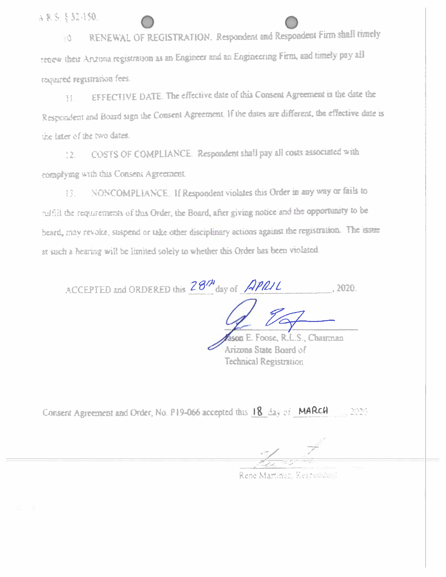(就让题素,它理论

RENEWAL OF REGISTRATION. Respondent and Respondent Firm shall timely l û tenew their Arizona registration as an Engineer and an Engineering Firm, and timely pay all required registration fees.

EFFECTIVE DATE. The effective date of this Consent Agreement is the date the  $\frac{3}{2}$   $\frac{3}{2}$ . Respondent and Board sign the Consent Agreement. If the dates are different, the effective date is the later of the two dates.

COSTS OF COMPLIANCE. Respondent shall pay all costs associated with  $12.$ complying with this Consent Agreement.

NONCOMPLIANCE. If Respondent violates this Order in any way or fails to 青宝. ruffill the requirements of this Order, the Board, after giving notice and the opportunity to be beard, may revoke, suspend or take other disciplinary actions against the registration. The issue at such a hearing will be limited solely to whether this Order has been violated.

ACCEPTED and ORDERED this 28th day of APRIL 2020.

m F. Foose, R.L.S., Chairman Arizona State Board of **Technical Registration** 

Consent Agreement and Order, No. P19-066 accepted this 18 day of MARCH  $21234$ 

Rene Martinez, Reichs der I